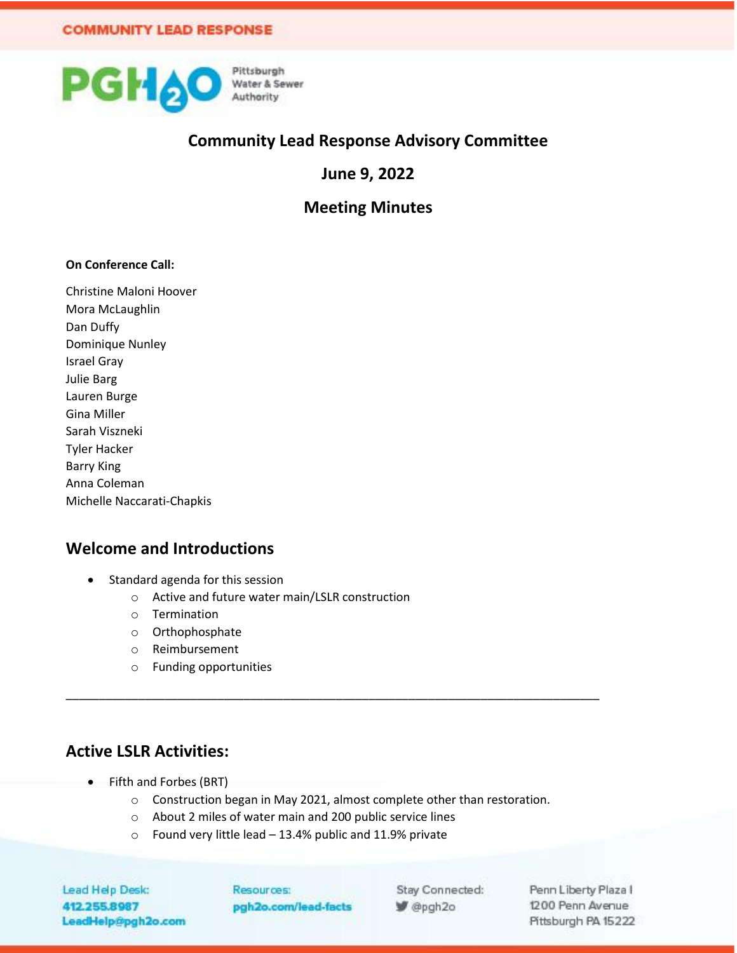

### **Community Lead Response Advisory Committee**

**June 9, 2022**

**Meeting Minutes**

#### **On Conference Call:**

Christine Maloni Hoover Mora McLaughlin Dan Duffy Dominique Nunley Israel Gray Julie Barg Lauren Burge Gina Miller Sarah Viszneki Tyler Hacker Barry King Anna Coleman Michelle Naccarati-Chapkis

#### **Welcome and Introductions**

- Standard agenda for this session
	- o Active and future water main/LSLR construction
	- o Termination
	- o Orthophosphate
	- o Reimbursement
	- o Funding opportunities

### **Active LSLR Activities:**

- Fifth and Forbes (BRT)
	- o Construction began in May 2021, almost complete other than restoration.

\_\_\_\_\_\_\_\_\_\_\_\_\_\_\_\_\_\_\_\_\_\_\_\_\_\_\_\_\_\_\_\_\_\_\_\_\_\_\_\_\_\_\_\_\_\_\_\_\_\_\_\_\_\_\_\_\_\_\_\_\_\_\_\_\_\_\_\_\_\_\_\_\_\_\_\_\_\_\_\_\_

- o About 2 miles of water main and 200 public service lines
- o Found very little lead 13.4% public and 11.9% private

Lead Help Desk: 412.255.8987 LeadHelp@pgh2o.com Resources: pgh2o.com/lead-facts

Stay Connected: P @pgh2o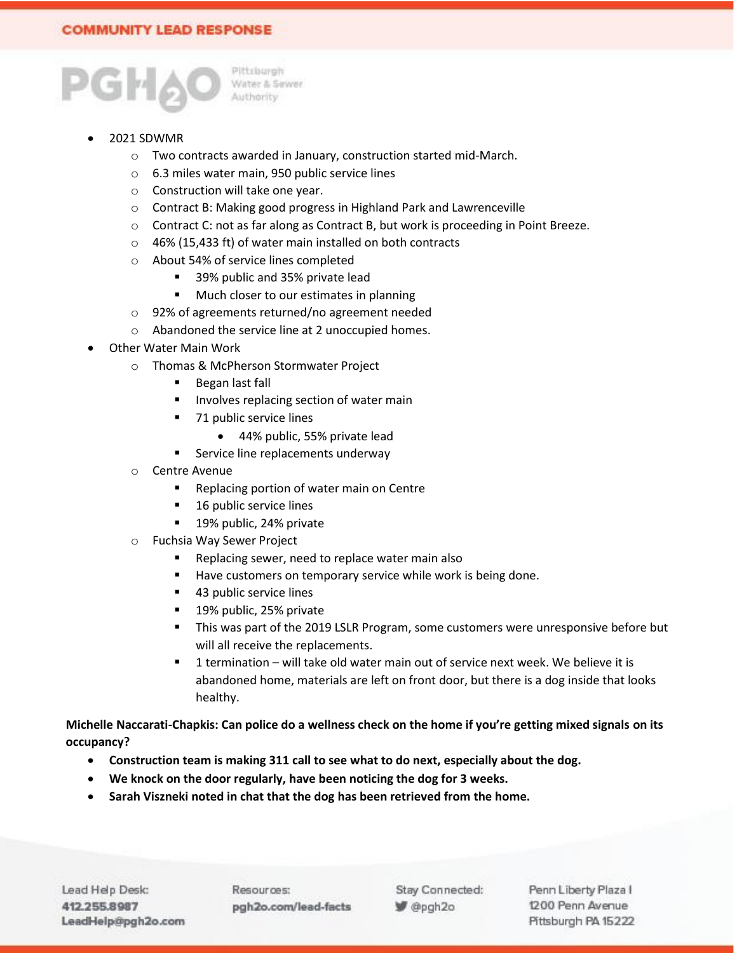

#### • 2021 SDWMR

- o Two contracts awarded in January, construction started mid-March.
- o 6.3 miles water main, 950 public service lines
- o Construction will take one year.
- o Contract B: Making good progress in Highland Park and Lawrenceville
- o Contract C: not as far along as Contract B, but work is proceeding in Point Breeze.
- o 46% (15,433 ft) of water main installed on both contracts
- o About 54% of service lines completed
	- 39% public and 35% private lead
	- Much closer to our estimates in planning
- o 92% of agreements returned/no agreement needed
- o Abandoned the service line at 2 unoccupied homes.
- Other Water Main Work
	- o Thomas & McPherson Stormwater Project
		- Began last fall
		- Involves replacing section of water main
		- 71 public service lines
			- 44% public, 55% private lead
		- Service line replacements underway
	- o Centre Avenue
		- Replacing portion of water main on Centre
		- 16 public service lines
		- 19% public, 24% private
	- o Fuchsia Way Sewer Project
		- Replacing sewer, need to replace water main also
		- Have customers on temporary service while work is being done.
		- 43 public service lines
		- 19% public, 25% private
		- **.** This was part of the 2019 LSLR Program, some customers were unresponsive before but will all receive the replacements.
		- 1 termination will take old water main out of service next week. We believe it is abandoned home, materials are left on front door, but there is a dog inside that looks healthy.

**Michelle Naccarati-Chapkis: Can police do a wellness check on the home if you're getting mixed signals on its occupancy?**

- **Construction team is making 311 call to see what to do next, especially about the dog.**
- **We knock on the door regularly, have been noticing the dog for 3 weeks.**
- **Sarah Viszneki noted in chat that the dog has been retrieved from the home.**

Resources: pgh2o.com/lead-facts Stay Connected: P @pgh2o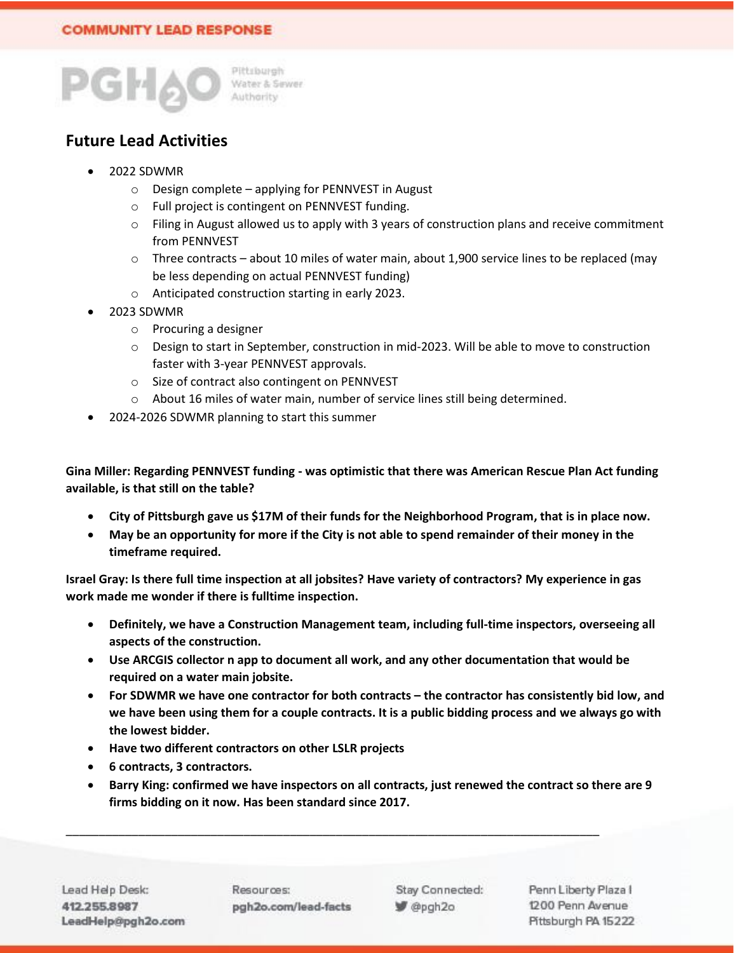

# **Future Lead Activities**

- 2022 SDWMR
	- o Design complete applying for PENNVEST in August
	- o Full project is contingent on PENNVEST funding.
	- $\circ$  Filing in August allowed us to apply with 3 years of construction plans and receive commitment from PENNVEST
	- $\circ$  Three contracts about 10 miles of water main, about 1,900 service lines to be replaced (may be less depending on actual PENNVEST funding)
	- o Anticipated construction starting in early 2023.
- 2023 SDWMR
	- o Procuring a designer
	- o Design to start in September, construction in mid-2023. Will be able to move to construction faster with 3-year PENNVEST approvals.
	- o Size of contract also contingent on PENNVEST
	- o About 16 miles of water main, number of service lines still being determined.
- 2024-2026 SDWMR planning to start this summer

**Gina Miller: Regarding PENNVEST funding - was optimistic that there was American Rescue Plan Act funding available, is that still on the table?**

- **City of Pittsburgh gave us \$17M of their funds for the Neighborhood Program, that is in place now.**
- **May be an opportunity for more if the City is not able to spend remainder of their money in the timeframe required.**

**Israel Gray: Is there full time inspection at all jobsites? Have variety of contractors? My experience in gas work made me wonder if there is fulltime inspection.**

- **Definitely, we have a Construction Management team, including full-time inspectors, overseeing all aspects of the construction.**
- **Use ARCGIS collector n app to document all work, and any other documentation that would be required on a water main jobsite.**
- **For SDWMR we have one contractor for both contracts – the contractor has consistently bid low, and we have been using them for a couple contracts. It is a public bidding process and we always go with the lowest bidder.**
- **Have two different contractors on other LSLR projects**
- **6 contracts, 3 contractors.**
- **Barry King: confirmed we have inspectors on all contracts, just renewed the contract so there are 9 firms bidding on it now. Has been standard since 2017.**

\_\_\_\_\_\_\_\_\_\_\_\_\_\_\_\_\_\_\_\_\_\_\_\_\_\_\_\_\_\_\_\_\_\_\_\_\_\_\_\_\_\_\_\_\_\_\_\_\_\_\_\_\_\_\_\_\_\_\_\_\_\_\_\_\_\_\_\_\_\_\_\_\_\_\_\_\_\_\_\_\_

Resources: pgh2o.com/lead-facts Stay Connected: @pgh2o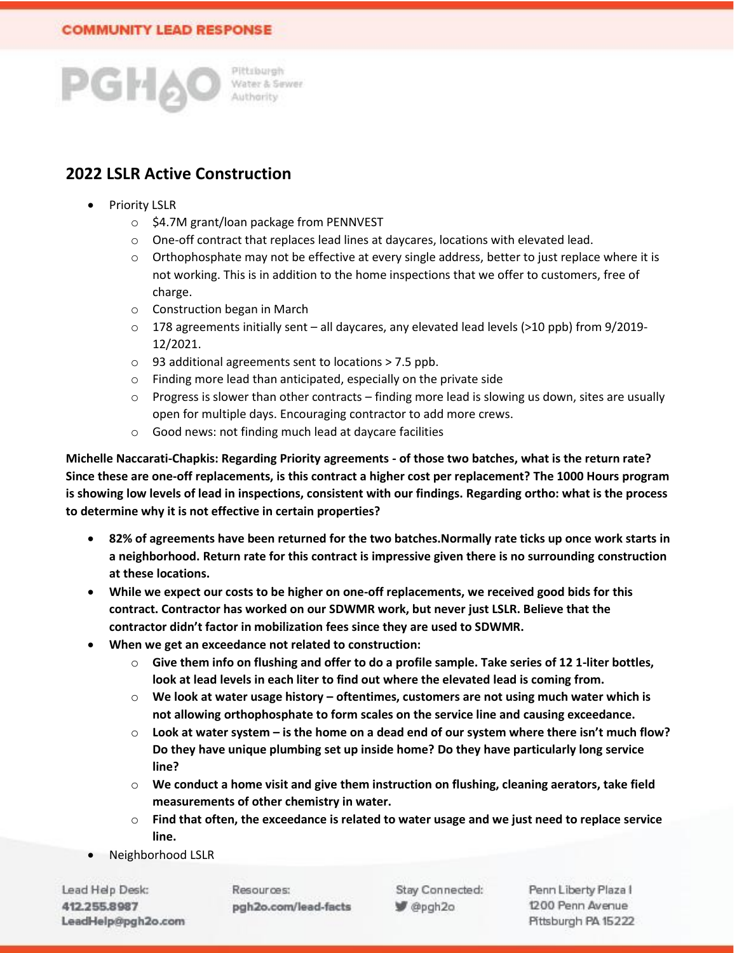

# **2022 LSLR Active Construction**

- **Priority LSLR** 
	- o \$4.7M grant/loan package from PENNVEST
	- $\circ$  One-off contract that replaces lead lines at daycares, locations with elevated lead.
	- o Orthophosphate may not be effective at every single address, better to just replace where it is not working. This is in addition to the home inspections that we offer to customers, free of charge.
	- o Construction began in March
	- $\circ$  178 agreements initially sent all daycares, any elevated lead levels (>10 ppb) from 9/2019-12/2021.
	- o 93 additional agreements sent to locations > 7.5 ppb.
	- o Finding more lead than anticipated, especially on the private side
	- $\circ$  Progress is slower than other contracts finding more lead is slowing us down, sites are usually open for multiple days. Encouraging contractor to add more crews.
	- o Good news: not finding much lead at daycare facilities

**Michelle Naccarati-Chapkis: Regarding Priority agreements - of those two batches, what is the return rate? Since these are one-off replacements, is this contract a higher cost per replacement? The 1000 Hours program is showing low levels of lead in inspections, consistent with our findings. Regarding ortho: what is the process to determine why it is not effective in certain properties?** 

- **82% of agreements have been returned for the two batches.Normally rate ticks up once work starts in a neighborhood. Return rate for this contract is impressive given there is no surrounding construction at these locations.**
- **While we expect our costs to be higher on one-off replacements, we received good bids for this contract. Contractor has worked on our SDWMR work, but never just LSLR. Believe that the contractor didn't factor in mobilization fees since they are used to SDWMR.**
- **When we get an exceedance not related to construction:**
	- o **Give them info on flushing and offer to do a profile sample. Take series of 12 1-liter bottles, look at lead levels in each liter to find out where the elevated lead is coming from.**
	- o **We look at water usage history – oftentimes, customers are not using much water which is not allowing orthophosphate to form scales on the service line and causing exceedance.**
	- o **Look at water system – is the home on a dead end of our system where there isn't much flow? Do they have unique plumbing set up inside home? Do they have particularly long service line?**
	- o **We conduct a home visit and give them instruction on flushing, cleaning aerators, take field measurements of other chemistry in water.**
	- o **Find that often, the exceedance is related to water usage and we just need to replace service line.**
- Neighborhood LSLR

Lead Help Desk: 412.255.8987 LeadHelp@pgh2o.com Resources: pgh2o.com/lead-facts Stay Connected: @pgh2o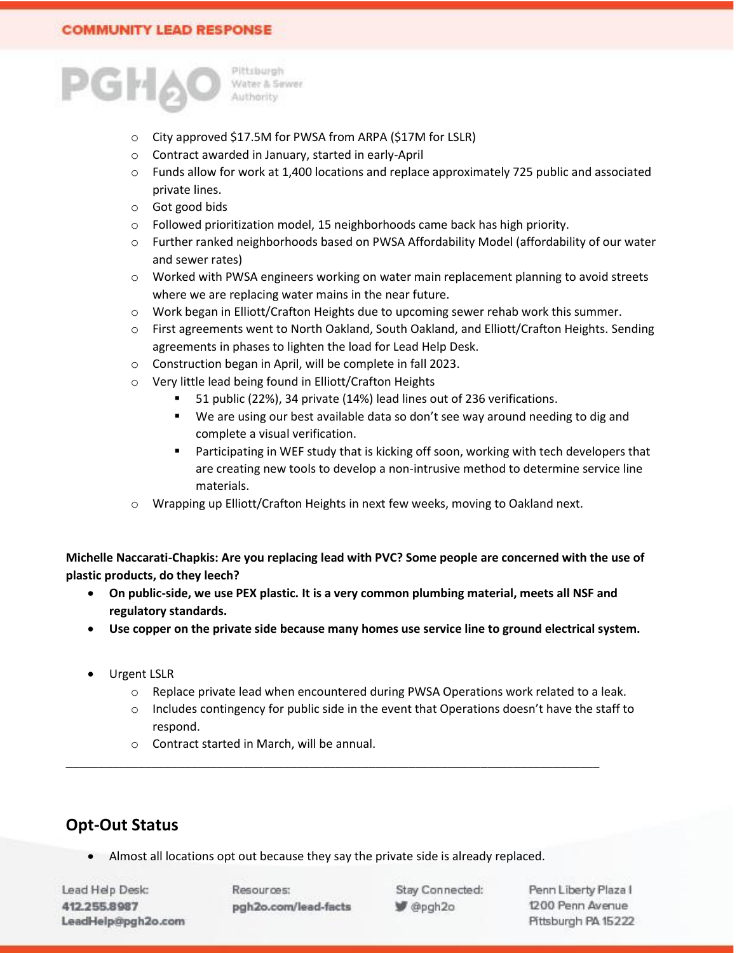

- o City approved \$17.5M for PWSA from ARPA (\$17M for LSLR)
- o Contract awarded in January, started in early-April
- o Funds allow for work at 1,400 locations and replace approximately 725 public and associated private lines.
- o Got good bids
- o Followed prioritization model, 15 neighborhoods came back has high priority.
- o Further ranked neighborhoods based on PWSA Affordability Model (affordability of our water and sewer rates)
- o Worked with PWSA engineers working on water main replacement planning to avoid streets where we are replacing water mains in the near future.
- o Work began in Elliott/Crafton Heights due to upcoming sewer rehab work this summer.
- o First agreements went to North Oakland, South Oakland, and Elliott/Crafton Heights. Sending agreements in phases to lighten the load for Lead Help Desk.
- o Construction began in April, will be complete in fall 2023.
- o Very little lead being found in Elliott/Crafton Heights
	- 51 public (22%), 34 private (14%) lead lines out of 236 verifications.
	- We are using our best available data so don't see way around needing to dig and complete a visual verification.
	- Participating in WEF study that is kicking off soon, working with tech developers that are creating new tools to develop a non-intrusive method to determine service line materials.
- o Wrapping up Elliott/Crafton Heights in next few weeks, moving to Oakland next.

**Michelle Naccarati-Chapkis: Are you replacing lead with PVC? Some people are concerned with the use of plastic products, do they leech?** 

- **On public-side, we use PEX plastic. It is a very common plumbing material, meets all NSF and regulatory standards.**
- **Use copper on the private side because many homes use service line to ground electrical system.**
- Urgent LSLR
	- o Replace private lead when encountered during PWSA Operations work related to a leak.
	- o Includes contingency for public side in the event that Operations doesn't have the staff to respond.
	- o Contract started in March, will be annual.

# **Opt-Out Status**

Almost all locations opt out because they say the private side is already replaced.

\_\_\_\_\_\_\_\_\_\_\_\_\_\_\_\_\_\_\_\_\_\_\_\_\_\_\_\_\_\_\_\_\_\_\_\_\_\_\_\_\_\_\_\_\_\_\_\_\_\_\_\_\_\_\_\_\_\_\_\_\_\_\_\_\_\_\_\_\_\_\_\_\_\_\_\_\_\_\_\_\_

Lead Help Desk: 412.255.8987 LeadHelp@pgh2o.com Resources: pgh2o.com/lead-facts Stay Connected: @pgh2o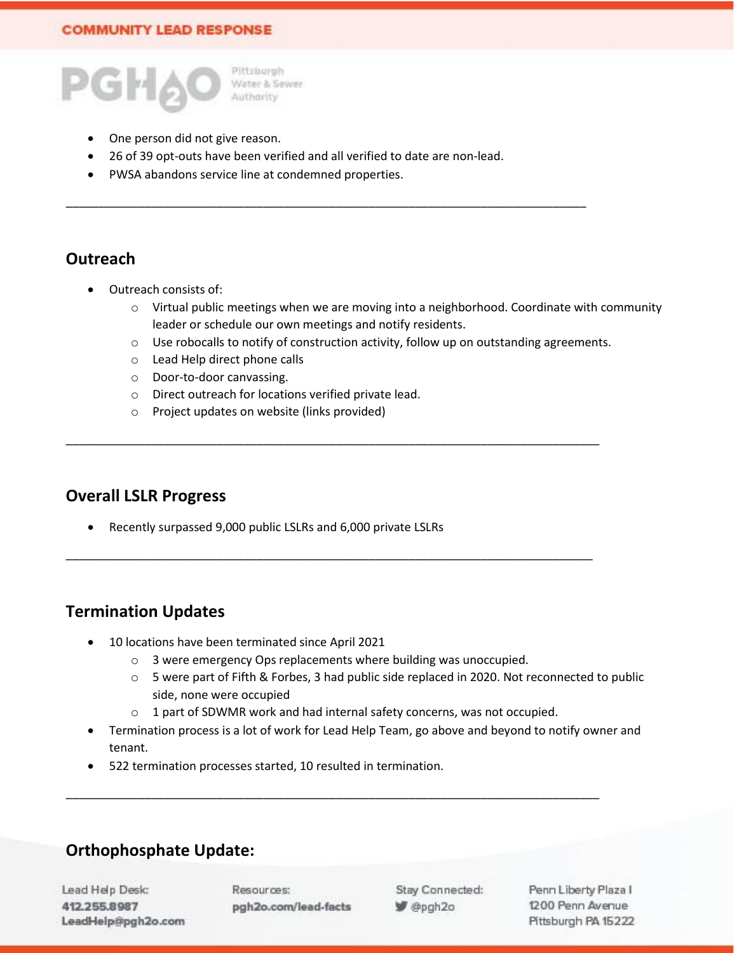

- One person did not give reason.
- 26 of 39 opt-outs have been verified and all verified to date are non-lead.

\_\_\_\_\_\_\_\_\_\_\_\_\_\_\_\_\_\_\_\_\_\_\_\_\_\_\_\_\_\_\_\_\_\_\_\_\_\_\_\_\_\_\_\_\_\_\_\_\_\_\_\_\_\_\_\_\_\_\_\_\_\_\_\_\_\_\_\_\_\_\_\_\_\_\_\_\_\_\_

• PWSA abandons service line at condemned properties.

# **Outreach**

- Outreach consists of:
	- $\circ$  Virtual public meetings when we are moving into a neighborhood. Coordinate with community leader or schedule our own meetings and notify residents.
	- o Use robocalls to notify of construction activity, follow up on outstanding agreements.
	- o Lead Help direct phone calls
	- o Door-to-door canvassing.
	- o Direct outreach for locations verified private lead.
	- o Project updates on website (links provided)

### **Overall LSLR Progress**

• Recently surpassed 9,000 public LSLRs and 6,000 private LSLRs

# **Termination Updates**

- 10 locations have been terminated since April 2021
	- o 3 were emergency Ops replacements where building was unoccupied.

\_\_\_\_\_\_\_\_\_\_\_\_\_\_\_\_\_\_\_\_\_\_\_\_\_\_\_\_\_\_\_\_\_\_\_\_\_\_\_\_\_\_\_\_\_\_\_\_\_\_\_\_\_\_\_\_\_\_\_\_\_\_\_\_\_\_\_\_\_\_\_\_\_\_\_\_\_\_\_\_\_

\_\_\_\_\_\_\_\_\_\_\_\_\_\_\_\_\_\_\_\_\_\_\_\_\_\_\_\_\_\_\_\_\_\_\_\_\_\_\_\_\_\_\_\_\_\_\_\_\_\_\_\_\_\_\_\_\_\_\_\_\_\_\_\_\_\_\_\_\_\_\_\_\_\_\_\_\_\_\_\_

\_\_\_\_\_\_\_\_\_\_\_\_\_\_\_\_\_\_\_\_\_\_\_\_\_\_\_\_\_\_\_\_\_\_\_\_\_\_\_\_\_\_\_\_\_\_\_\_\_\_\_\_\_\_\_\_\_\_\_\_\_\_\_\_\_\_\_\_\_\_\_\_\_\_\_\_\_\_\_\_\_

- o 5 were part of Fifth & Forbes, 3 had public side replaced in 2020. Not reconnected to public side, none were occupied
- o 1 part of SDWMR work and had internal safety concerns, was not occupied.
- Termination process is a lot of work for Lead Help Team, go above and beyond to notify owner and tenant.
- 522 termination processes started, 10 resulted in termination.

# **Orthophosphate Update:**

Lead Help Desk: 412.255.8987 LeadHelp@pgh2o.com Resources: pgh2o.com/lead-facts Stay Connected: P @pgh2o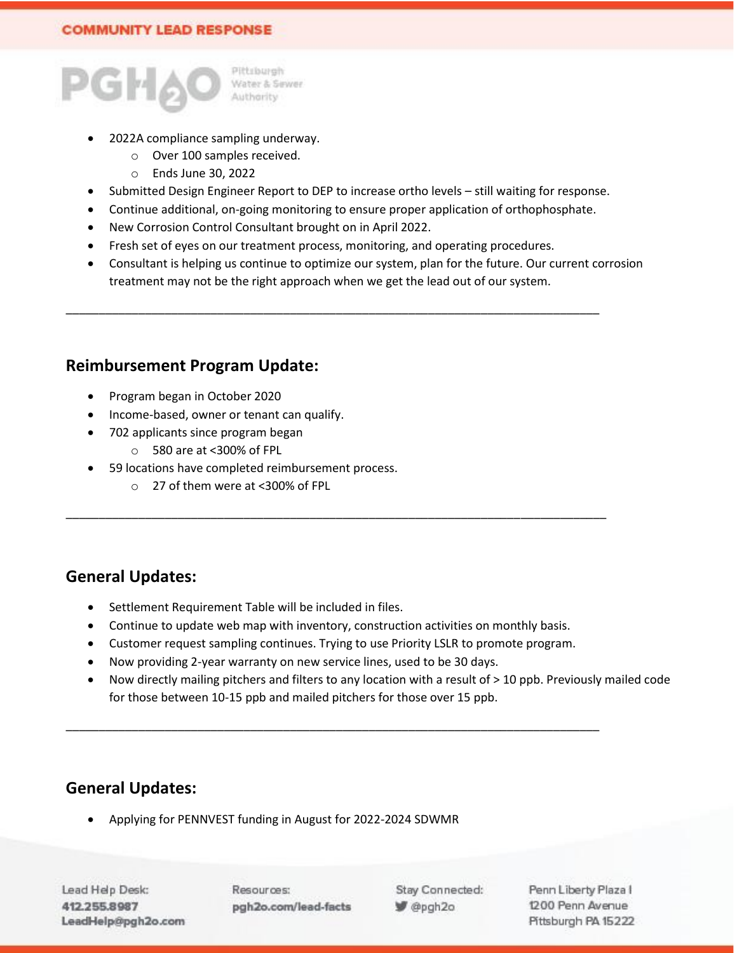

- 2022A compliance sampling underway.
	- o Over 100 samples received.
	- o Ends June 30, 2022
- Submitted Design Engineer Report to DEP to increase ortho levels still waiting for response.
- Continue additional, on-going monitoring to ensure proper application of orthophosphate.
- New Corrosion Control Consultant brought on in April 2022.
- Fresh set of eyes on our treatment process, monitoring, and operating procedures.

\_\_\_\_\_\_\_\_\_\_\_\_\_\_\_\_\_\_\_\_\_\_\_\_\_\_\_\_\_\_\_\_\_\_\_\_\_\_\_\_\_\_\_\_\_\_\_\_\_\_\_\_\_\_\_\_\_\_\_\_\_\_\_\_\_\_\_\_\_\_\_\_\_\_\_\_\_\_\_\_\_

• Consultant is helping us continue to optimize our system, plan for the future. Our current corrosion treatment may not be the right approach when we get the lead out of our system.

### **Reimbursement Program Update:**

- Program began in October 2020
- Income-based, owner or tenant can qualify.
- 702 applicants since program began
	- o 580 are at <300% of FPL
- 59 locations have completed reimbursement process.
	- o 27 of them were at <300% of FPL

### **General Updates:**

- Settlement Requirement Table will be included in files.
- Continue to update web map with inventory, construction activities on monthly basis.

\_\_\_\_\_\_\_\_\_\_\_\_\_\_\_\_\_\_\_\_\_\_\_\_\_\_\_\_\_\_\_\_\_\_\_\_\_\_\_\_\_\_\_\_\_\_\_\_\_\_\_\_\_\_\_\_\_\_\_\_\_\_\_\_\_\_\_\_\_\_\_\_\_\_\_\_\_\_\_\_\_\_

• Customer request sampling continues. Trying to use Priority LSLR to promote program.

\_\_\_\_\_\_\_\_\_\_\_\_\_\_\_\_\_\_\_\_\_\_\_\_\_\_\_\_\_\_\_\_\_\_\_\_\_\_\_\_\_\_\_\_\_\_\_\_\_\_\_\_\_\_\_\_\_\_\_\_\_\_\_\_\_\_\_\_\_\_\_\_\_\_\_\_\_\_\_\_\_

- Now providing 2-year warranty on new service lines, used to be 30 days.
- Now directly mailing pitchers and filters to any location with a result of > 10 ppb. Previously mailed code for those between 10-15 ppb and mailed pitchers for those over 15 ppb.

# **General Updates:**

• Applying for PENNVEST funding in August for 2022-2024 SDWMR

Lead Help Desk: 412.255.8987 LeadHelp@pgh2o.com Resources: pgh2o.com/lead-facts Stay Connected: P @pgh2o